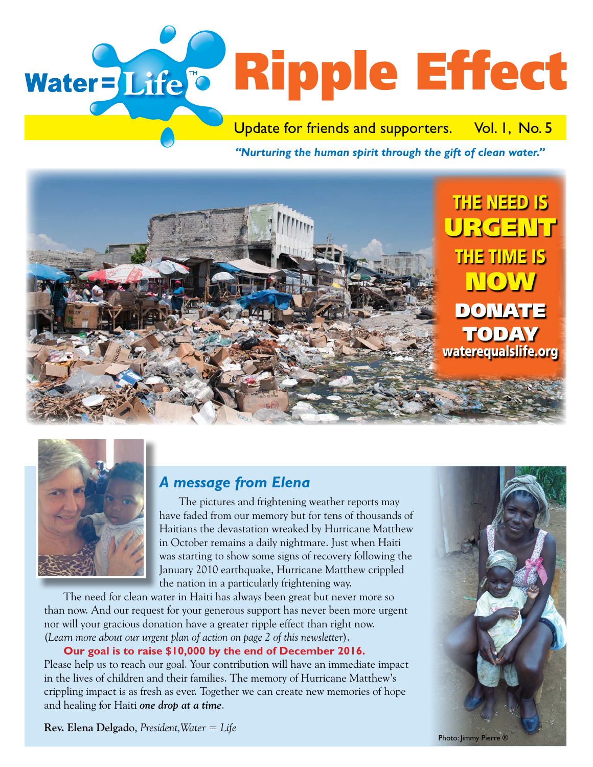# Water=Life'<sup>®</sup> Ripple Effect

Update for friends and supporters. Vol. I, No. 5

*"Nurturing the human spirit through the gift of clean water."* 





# *A message from Elena*

 The pictures and frightening weather reports may have faded from our memory but for tens of thousands of Haitians the devastation wreaked by Hurricane Matthew in October remains a daily nightmare. Just when Haiti was starting to show some signs of recovery following the January 2010 earthquake, Hurricane Matthew crippled the nation in a particularly frightening way.

 The need for clean water in Haiti has always been great but never more so than now. And our request for your generous support has never been more urgent nor will your gracious donation have a greater ripple effect than right now. (*Learn more about our urgent plan of action on page 2 of this newsletter*).

 **Our goal is to raise \$10,000 by the end of December 2016.** Please help us to reach our goal. Your contribution will have an immediate impact in the lives of children and their families. The memory of Hurricane Matthew's crippling impact is as fresh as ever. Together we can create new memories of hope and healing for Haiti *one drop at a time*.